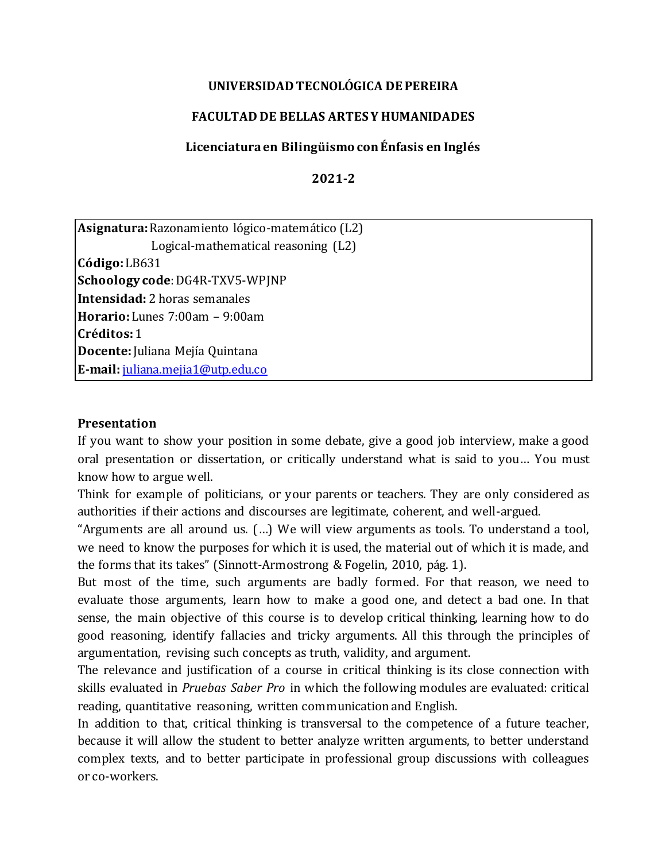#### **UNIVERSIDAD TECNOLÓGICA DE PEREIRA**

### **FACULTAD DE BELLAS ARTES Y HUMANIDADES**

#### **Licenciatura en Bilingüismo con Énfasis en Inglés**

**2021-2**

| <b>Asignatura:</b> Razonamiento lógico-matemático (L2) |
|--------------------------------------------------------|
| Logical-mathematical reasoning (L2)                    |
| $\textsf{C\'odigo:}\textsf{L}\textsf{B631}$            |
| Schoology code: DG4R-TXV5-WPJNP                        |
| <b>Intensidad:</b> 2 horas semanales                   |
| Horario: Lunes 7:00am - 9:00am                         |
| Créditos: 1                                            |
| Docente: Juliana Mejía Quintana                        |
| E-mail: juliana.mejia1@utp.edu.co                      |

#### **Presentation**

If you want to show your position in some debate, give a good job interview, make a good oral presentation or dissertation, or critically understand what is said to you… You must know how to argue well.

Think for example of politicians, or your parents or teachers. They are only considered as authorities if their actions and discourses are legitimate, coherent, and well-argued.

"Arguments are all around us. (…) We will view arguments as tools. To understand a tool, we need to know the purposes for which it is used, the material out of which it is made, and the forms that its takes" (Sinnott-Armostrong & Fogelin, 2010, pág. 1).

But most of the time, such arguments are badly formed. For that reason, we need to evaluate those arguments, learn how to make a good one, and detect a bad one. In that sense, the main objective of this course is to develop critical thinking, learning how to do good reasoning, identify fallacies and tricky arguments. All this through the principles of argumentation, revising such concepts as truth, validity, and argument.

The relevance and justification of a course in critical thinking is its close connection with skills evaluated in *Pruebas Saber Pro* in which the following modules are evaluated: critical reading, quantitative reasoning, written communication and English.

In addition to that, critical thinking is transversal to the competence of a future teacher, because it will allow the student to better analyze written arguments, to better understand complex texts, and to better participate in professional group discussions with colleagues or co-workers.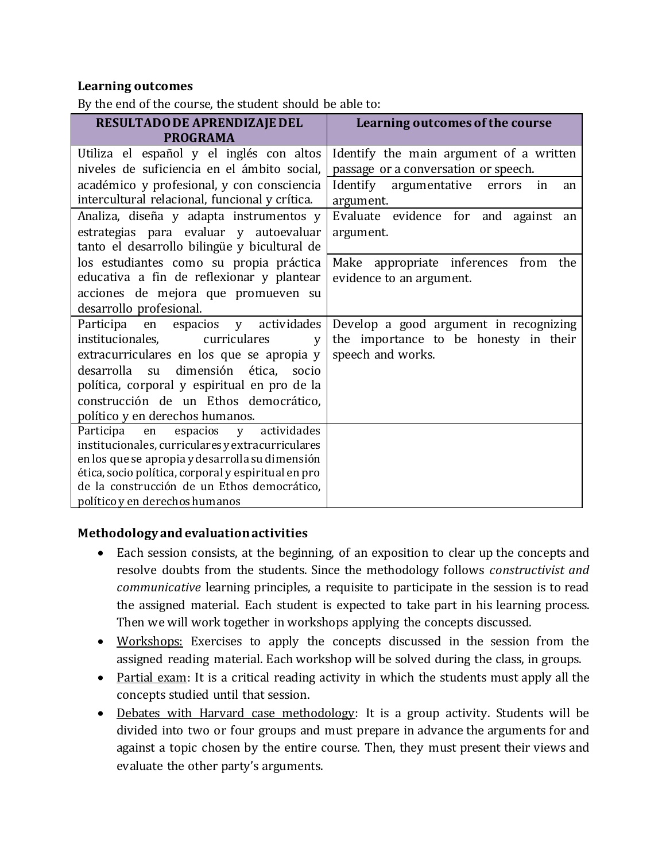### **Learning outcomes**

By the end of the course, the student should be able to:

| RESULTADO DE APRENDIZAJE DEL                        | Learning outcomes of the course                 |  |  |
|-----------------------------------------------------|-------------------------------------------------|--|--|
| <b>PROGRAMA</b>                                     |                                                 |  |  |
| Utiliza el español y el inglés con altos            | Identify the main argument of a written         |  |  |
| niveles de suficiencia en el ámbito social,         | passage or a conversation or speech.            |  |  |
| académico y profesional, y con consciencia          | Identify<br>argumentative<br>errors<br>in<br>an |  |  |
| intercultural relacional, funcional y crítica.      | argument.                                       |  |  |
| Analiza, diseña y adapta instrumentos y             | Evaluate evidence for and against<br>an         |  |  |
| estrategias para evaluar y autoevaluar              | argument.                                       |  |  |
| tanto el desarrollo bilingüe y bicultural de        |                                                 |  |  |
| los estudiantes como su propia práctica             | Make appropriate inferences from<br>the         |  |  |
| educativa a fin de reflexionar y plantear           | evidence to an argument.                        |  |  |
| acciones de mejora que promueven su                 |                                                 |  |  |
| desarrollo profesional.                             |                                                 |  |  |
| espacios y actividades<br>Participa<br>en           | Develop a good argument in recognizing          |  |  |
| curriculares<br>institucionales,<br>V               | the importance to be honesty in their           |  |  |
| extracurriculares en los que se apropia y           | speech and works.                               |  |  |
| desarrolla<br>dimensión ética, socio<br>su          |                                                 |  |  |
| política, corporal y espiritual en pro de la        |                                                 |  |  |
| construcción de un Ethos democrático,               |                                                 |  |  |
| político y en derechos humanos.                     |                                                 |  |  |
| actividades<br>Participa<br>espacios<br>V<br>en     |                                                 |  |  |
| institucionales, curriculares y extracurriculares   |                                                 |  |  |
| en los que se apropia y desarrolla su dimensión     |                                                 |  |  |
| ética, socio política, corporal y espiritual en pro |                                                 |  |  |
| de la construcción de un Ethos democrático,         |                                                 |  |  |
| político y en derechos humanos                      |                                                 |  |  |

#### **Methodology and evaluation activities**

- Each session consists, at the beginning, of an exposition to clear up the concepts and resolve doubts from the students. Since the methodology follows *constructivist and communicative* learning principles, a requisite to participate in the session is to read the assigned material. Each student is expected to take part in his learning process. Then we will work together in workshops applying the concepts discussed.
- Workshops: Exercises to apply the concepts discussed in the session from the assigned reading material. Each workshop will be solved during the class, in groups.
- Partial exam: It is a critical reading activity in which the students must apply all the concepts studied until that session.
- Debates with Harvard case methodology: It is a group activity. Students will be divided into two or four groups and must prepare in advance the arguments for and against a topic chosen by the entire course. Then, they must present their views and evaluate the other party's arguments.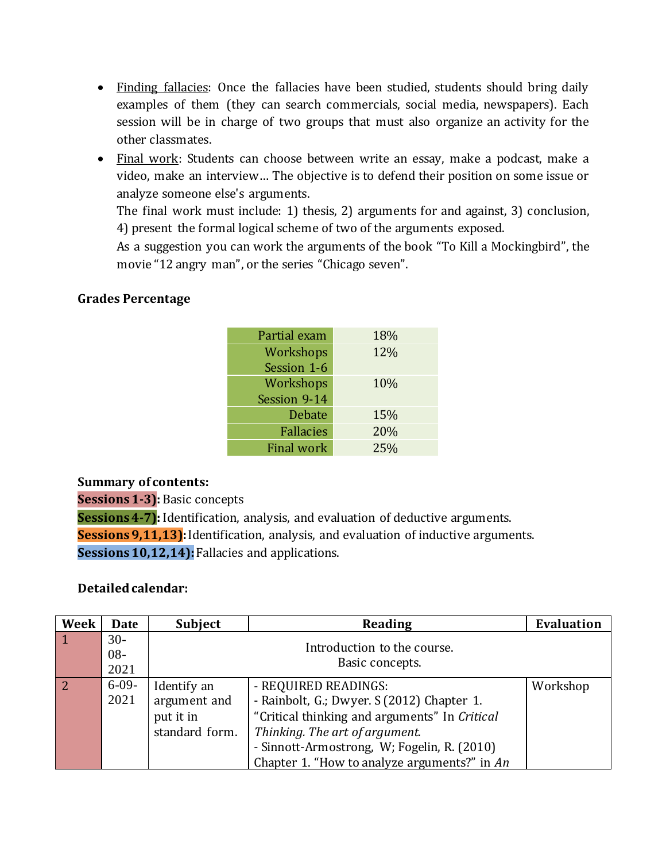- Finding fallacies: Once the fallacies have been studied, students should bring daily examples of them (they can search commercials, social media, newspapers). Each session will be in charge of two groups that must also organize an activity for the other classmates.
- Final work: Students can choose between write an essay, make a podcast, make a video, make an interview… The objective is to defend their position on some issue or analyze someone else's arguments.

The final work must include: 1) thesis, 2) arguments for and against, 3) conclusion, 4) present the formal logical scheme of two of the arguments exposed.

As a suggestion you can work the arguments of the book "To Kill a Mockingbird", the movie "12 angry man", or the series "Chicago seven".

## **Grades Percentage**

| Partial exam      | 18% |
|-------------------|-----|
| Workshops         | 12% |
| Session 1-6       |     |
| Workshops         | 10% |
| Session 9-14      |     |
| <b>Debate</b>     | 15% |
| <b>Fallacies</b>  | 20% |
| <b>Final work</b> | 25% |

#### **Summary of contents:**

**Sessions1-3):** Basic concepts

**Sessions 4-7):** Identification, analysis, and evaluation of deductive arguments. **Sessions 9,11,13):** Identification, analysis, and evaluation of inductive arguments. **Sessions 10, 12, 14):** Fallacies and applications.

#### **Detailed calendar:**

| Week | Date                    | Subject<br><b>Reading</b>                                  |                                                                                                                                                                                                                                                      | <b>Evaluation</b> |
|------|-------------------------|------------------------------------------------------------|------------------------------------------------------------------------------------------------------------------------------------------------------------------------------------------------------------------------------------------------------|-------------------|
|      | $30-$<br>$08 -$<br>2021 |                                                            | Introduction to the course.<br>Basic concepts.                                                                                                                                                                                                       |                   |
| 2    | $6-09-$<br>2021         | Identify an<br>argument and<br>put it in<br>standard form. | - REQUIRED READINGS:<br>- Rainbolt, G.; Dwyer. S (2012) Chapter 1.<br>"Critical thinking and arguments" In Critical<br>Thinking. The art of argument.<br>- Sinnott-Armostrong, W; Fogelin, R. (2010)<br>Chapter 1. "How to analyze arguments?" in An | Workshop          |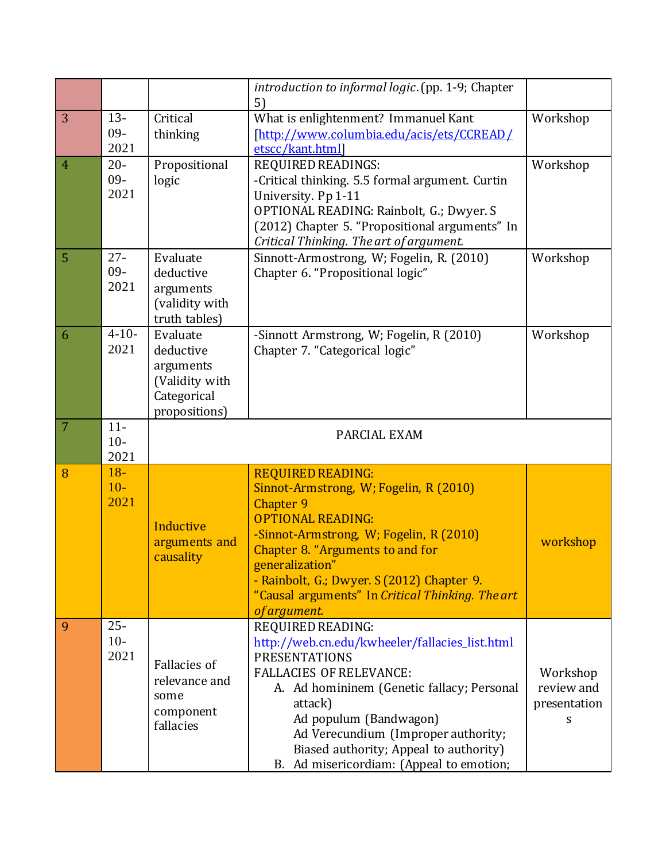|                |                          |                                                                                      | introduction to informal logic. (pp. 1-9; Chapter<br>5)                                                                                                                                                                                                                                                                                       |                                             |  |  |
|----------------|--------------------------|--------------------------------------------------------------------------------------|-----------------------------------------------------------------------------------------------------------------------------------------------------------------------------------------------------------------------------------------------------------------------------------------------------------------------------------------------|---------------------------------------------|--|--|
| 3              | $13 -$<br>$09 -$<br>2021 | Critical<br>thinking                                                                 | What is enlightenment? Immanuel Kant<br>[http://www.columbia.edu/acis/ets/CCREAD/<br>etscc/kant.html]                                                                                                                                                                                                                                         | Workshop                                    |  |  |
| $\overline{4}$ | $20 -$<br>$09 -$<br>2021 | Propositional<br>logic                                                               | <b>REQUIRED READINGS:</b><br>-Critical thinking. 5.5 formal argument. Curtin<br>University. Pp 1-11<br>OPTIONAL READING: Rainbolt, G.; Dwyer. S<br>(2012) Chapter 5. "Propositional arguments" In<br>Critical Thinking. The art of argument.                                                                                                  | Workshop                                    |  |  |
| 5              | $27 -$<br>$09 -$<br>2021 | Evaluate<br>deductive<br>arguments<br>(validity with<br>truth tables)                | Sinnott-Armostrong, W; Fogelin, R. (2010)<br>Chapter 6. "Propositional logic"                                                                                                                                                                                                                                                                 | Workshop                                    |  |  |
| 6              | $4 - 10 -$<br>2021       | Evaluate<br>deductive<br>arguments<br>(Validity with<br>Categorical<br>propositions) | -Sinnott Armstrong, W; Fogelin, R (2010)<br>Chapter 7. "Categorical logic"                                                                                                                                                                                                                                                                    | Workshop                                    |  |  |
| 7              | $11-$<br>$10-$<br>2021   | PARCIAL EXAM                                                                         |                                                                                                                                                                                                                                                                                                                                               |                                             |  |  |
| 8              | $18 -$<br>$10-$<br>2021  | Inductive<br>arguments and<br>causality                                              | <b>REQUIRED READING:</b><br>Sinnot-Armstrong, W; Fogelin, R (2010)<br>Chapter 9<br><b>OPTIONAL READING:</b><br>-Sinnot-Armstrong, W; Fogelin, R (2010)<br>Chapter 8. "Arguments to and for<br>generalization"<br>- Rainbolt, G.; Dwyer. S (2012) Chapter 9.<br>"Causal arguments" In Critical Thinking. The art<br>of argument.               | workshop                                    |  |  |
| 9              | $25 -$<br>$10-$<br>2021  | <b>Fallacies of</b><br>relevance and<br>some<br>component<br>fallacies               | REQUIRED READING:<br>http://web.cn.edu/kwheeler/fallacies_list.html<br><b>PRESENTATIONS</b><br><b>FALLACIES OF RELEVANCE:</b><br>A. Ad homininem (Genetic fallacy; Personal<br>attack)<br>Ad populum (Bandwagon)<br>Ad Verecundium (Improper authority;<br>Biased authority; Appeal to authority)<br>B. Ad misericordiam: (Appeal to emotion; | Workshop<br>review and<br>presentation<br>S |  |  |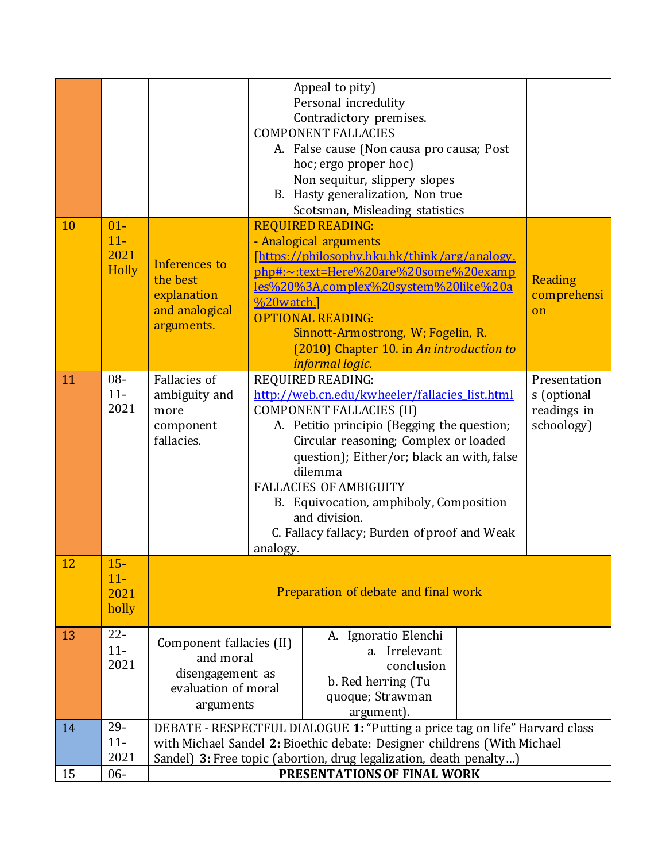|    |                                         |                                                                                                                                                                                                                               |                                                                                                                                                                                                                                                                                                                                                                                                                  | Appeal to pity)<br>Personal incredulity<br>Contradictory premises.<br><b>COMPONENT FALLACIES</b><br>A. False cause (Non causa pro causa; Post<br>hoc; ergo proper hoc)<br>Non sequitur, slippery slopes<br>B. Hasty generalization, Non true<br>Scotsman, Misleading statistics                                               |  |                                                          |
|----|-----------------------------------------|-------------------------------------------------------------------------------------------------------------------------------------------------------------------------------------------------------------------------------|------------------------------------------------------------------------------------------------------------------------------------------------------------------------------------------------------------------------------------------------------------------------------------------------------------------------------------------------------------------------------------------------------------------|-------------------------------------------------------------------------------------------------------------------------------------------------------------------------------------------------------------------------------------------------------------------------------------------------------------------------------|--|----------------------------------------------------------|
| 10 | $01 -$<br>$11-$<br>2021<br><b>Holly</b> | Inferences to<br>the best<br>explanation<br>and analogical<br>arguments.                                                                                                                                                      | %20watch.                                                                                                                                                                                                                                                                                                                                                                                                        | <b>REQUIRED READING:</b><br>- Analogical arguments<br>[https://philosophy.hku.hk/think/arg/analogy.<br>php#:~:text=Here%20are%20some%20examp<br><u>les%20%3A,complex%20system%20like%20a</u><br><b>OPTIONAL READING:</b><br>Sinnott-Armostrong, W; Fogelin, R.<br>(2010) Chapter 10. in An introduction to<br>informal logic. |  | Reading<br>comprehensi<br>$\alpha$                       |
| 11 | $08 -$<br>$11-$<br>2021                 | Fallacies of<br>ambiguity and<br>more<br>component<br>fallacies.                                                                                                                                                              | REQUIRED READING:<br>http://web.cn.edu/kwheeler/fallacies list.html<br><b>COMPONENT FALLACIES (II)</b><br>A. Petitio principio (Begging the question;<br>Circular reasoning; Complex or loaded<br>question); Either/or; black an with, false<br>dilemma<br><b>FALLACIES OF AMBIGUITY</b><br>B. Equivocation, amphiboly, Composition<br>and division.<br>C. Fallacy fallacy; Burden of proof and Weak<br>analogy. |                                                                                                                                                                                                                                                                                                                               |  | Presentation<br>s (optional<br>readings in<br>schoology) |
| 12 | $15 -$<br>$11-$<br>2021<br>holly        | Preparation of debate and final work                                                                                                                                                                                          |                                                                                                                                                                                                                                                                                                                                                                                                                  |                                                                                                                                                                                                                                                                                                                               |  |                                                          |
| 13 | $22 -$<br>$11-$<br>2021                 | A. Ignoratio Elenchi<br>Component fallacies (II)<br>Irrelevant<br>a.<br>and moral<br>conclusion<br>disengagement as<br>b. Red herring (Tu<br>evaluation of moral<br>quoque; Strawman<br>arguments<br>argument).               |                                                                                                                                                                                                                                                                                                                                                                                                                  |                                                                                                                                                                                                                                                                                                                               |  |                                                          |
| 14 | $29 -$<br>$11-$<br>2021                 | DEBATE - RESPECTFUL DIALOGUE 1: "Putting a price tag on life" Harvard class<br>with Michael Sandel 2: Bioethic debate: Designer childrens (With Michael<br>Sandel) 3: Free topic (abortion, drug legalization, death penalty) |                                                                                                                                                                                                                                                                                                                                                                                                                  |                                                                                                                                                                                                                                                                                                                               |  |                                                          |
| 15 | $06 -$                                  | PRESENTATIONS OF FINAL WORK                                                                                                                                                                                                   |                                                                                                                                                                                                                                                                                                                                                                                                                  |                                                                                                                                                                                                                                                                                                                               |  |                                                          |